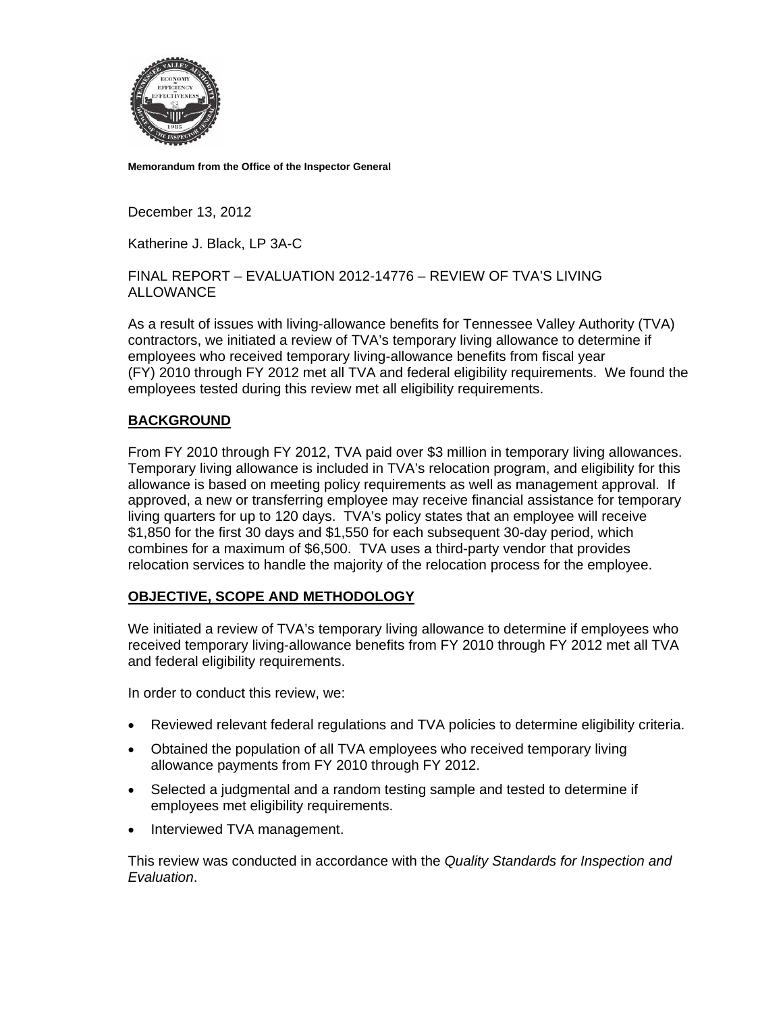

**Memorandum from the Office of the Inspector General** 

December 13, 2012

Katherine J. Black, LP 3A-C

FINAL REPORT – EVALUATION 2012-14776 – REVIEW OF TVA'S LIVING **ALLOWANCE** 

As a result of issues with living-allowance benefits for Tennessee Valley Authority (TVA) contractors, we initiated a review of TVA's temporary living allowance to determine if employees who received temporary living-allowance benefits from fiscal year (FY) 2010 through FY 2012 met all TVA and federal eligibility requirements. We found the employees tested during this review met all eligibility requirements.

## **BACKGROUND**

From FY 2010 through FY 2012, TVA paid over \$3 million in temporary living allowances. Temporary living allowance is included in TVA's relocation program, and eligibility for this allowance is based on meeting policy requirements as well as management approval. If approved, a new or transferring employee may receive financial assistance for temporary living quarters for up to 120 days. TVA's policy states that an employee will receive \$1,850 for the first 30 days and \$1,550 for each subsequent 30-day period, which combines for a maximum of \$6,500. TVA uses a third-party vendor that provides relocation services to handle the majority of the relocation process for the employee.

## **OBJECTIVE, SCOPE AND METHODOLOGY**

We initiated a review of TVA's temporary living allowance to determine if employees who received temporary living-allowance benefits from FY 2010 through FY 2012 met all TVA and federal eligibility requirements.

In order to conduct this review, we:

- Reviewed relevant federal regulations and TVA policies to determine eligibility criteria.
- Obtained the population of all TVA employees who received temporary living allowance payments from FY 2010 through FY 2012.
- Selected a judgmental and a random testing sample and tested to determine if employees met eligibility requirements.
- Interviewed TVA management.

This review was conducted in accordance with the *Quality Standards for Inspection and Evaluation*.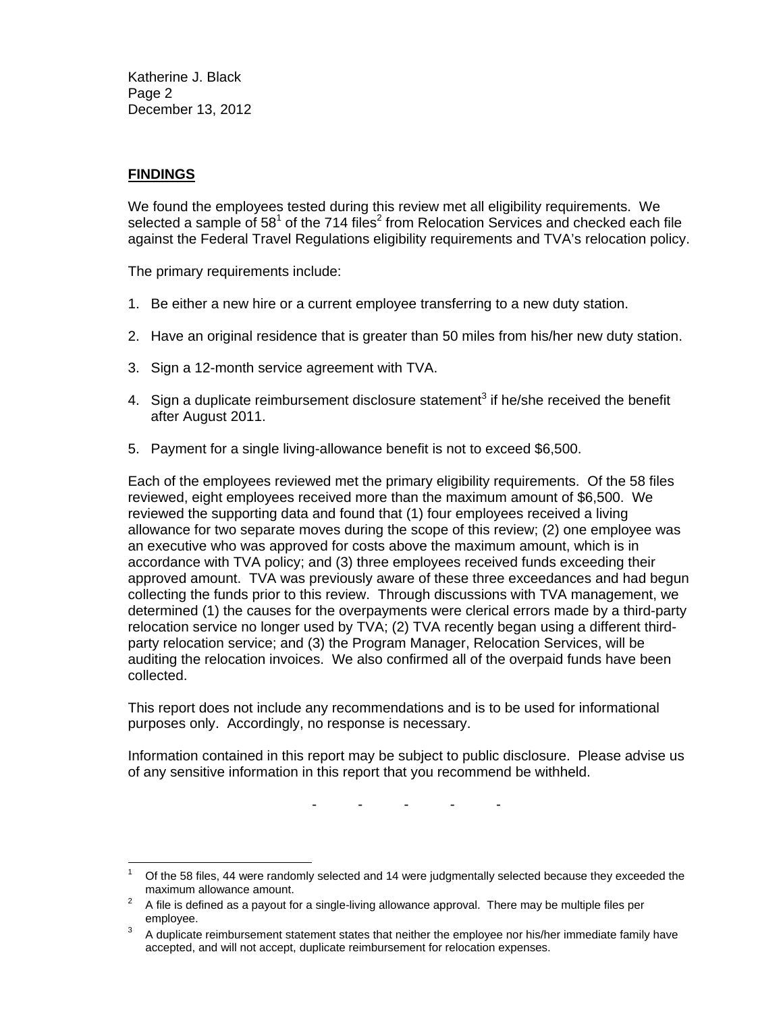Katherine J. Black Page 2 December 13, 2012

## **FINDINGS**

We found the employees tested during this review met all eligibility requirements. We selected a sample of 58<sup>1</sup> of the 714 files<sup>2</sup> from Relocation Services and checked each file against the Federal Travel Regulations eligibility requirements and TVA's relocation policy.

The primary requirements include:

- 1. Be either a new hire or a current employee transferring to a new duty station.
- 2. Have an original residence that is greater than 50 miles from his/her new duty station.
- 3. Sign a 12-month service agreement with TVA.
- 4. Sign a duplicate reimbursement disclosure statement<sup>3</sup> if he/she received the benefit after August 2011.
- 5. Payment for a single living-allowance benefit is not to exceed \$6,500.

Each of the employees reviewed met the primary eligibility requirements. Of the 58 files reviewed, eight employees received more than the maximum amount of \$6,500. We reviewed the supporting data and found that (1) four employees received a living allowance for two separate moves during the scope of this review; (2) one employee was an executive who was approved for costs above the maximum amount, which is in accordance with TVA policy; and (3) three employees received funds exceeding their approved amount. TVA was previously aware of these three exceedances and had begun collecting the funds prior to this review. Through discussions with TVA management, we determined (1) the causes for the overpayments were clerical errors made by a third-party relocation service no longer used by TVA; (2) TVA recently began using a different thirdparty relocation service; and (3) the Program Manager, Relocation Services, will be auditing the relocation invoices. We also confirmed all of the overpaid funds have been collected.

This report does not include any recommendations and is to be used for informational purposes only. Accordingly, no response is necessary.

Information contained in this report may be subject to public disclosure. Please advise us of any sensitive information in this report that you recommend be withheld.

- - - - -

 $\overline{a}$ 1 Of the 58 files, 44 were randomly selected and 14 were judgmentally selected because they exceeded the maximum allowance amount.<br> $\frac{2}{3}$  A file is defined as a power that

A file is defined as a payout for a single-living allowance approval. There may be multiple files per employee.

A duplicate reimbursement statement states that neither the employee nor his/her immediate family have accepted, and will not accept, duplicate reimbursement for relocation expenses.